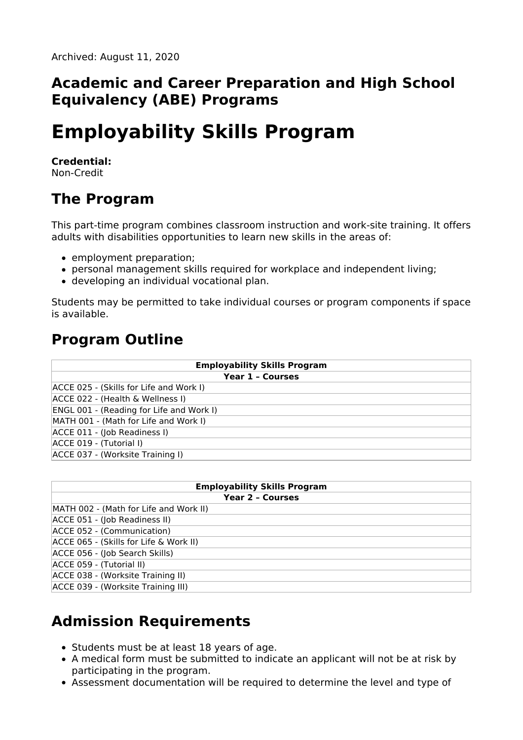#### **Academic and Career Preparation and High School Equivalency (ABE) Programs**

# **Employability Skills Program**

#### **Credential:**

Non-Credit

### **The Program**

This part-time program combines classroom instruction and work-site training. It offers adults with disabilities opportunities to learn new skills in the areas of:

- employment preparation;
- personal management skills required for workplace and independent living;
- developing an individual vocational plan.

Students may be permitted to take individual courses or program components if space is available.

### **Program Outline**

| <b>Employability Skills Program</b>             |
|-------------------------------------------------|
| <b>Year 1 - Courses</b>                         |
| ACCE 025 - (Skills for Life and Work I)         |
| ACCE 022 - (Health & Wellness I)                |
| <b>ENGL 001 - (Reading for Life and Work I)</b> |
| MATH 001 - (Math for Life and Work I)           |
| ACCE 011 - (Job Readiness I)                    |
| ACCE 019 - (Tutorial I)                         |
| ACCE 037 - (Worksite Training I)                |

| <b>Employability Skills Program</b>    |
|----------------------------------------|
| <b>Year 2 - Courses</b>                |
| MATH 002 - (Math for Life and Work II) |
| ACCE 051 - (Job Readiness II)          |
| ACCE 052 - (Communication)             |
| ACCE 065 - (Skills for Life & Work II) |
| ACCE 056 - (Job Search Skills)         |
| ACCE 059 - (Tutorial II)               |
| ACCE 038 - (Worksite Training II)      |
| ACCE 039 - (Worksite Training III)     |

## **Admission Requirements**

- Students must be at least 18 years of age.
- A medical form must be submitted to indicate an applicant will not be at risk by participating in the program.
- Assessment documentation will be required to determine the level and type of